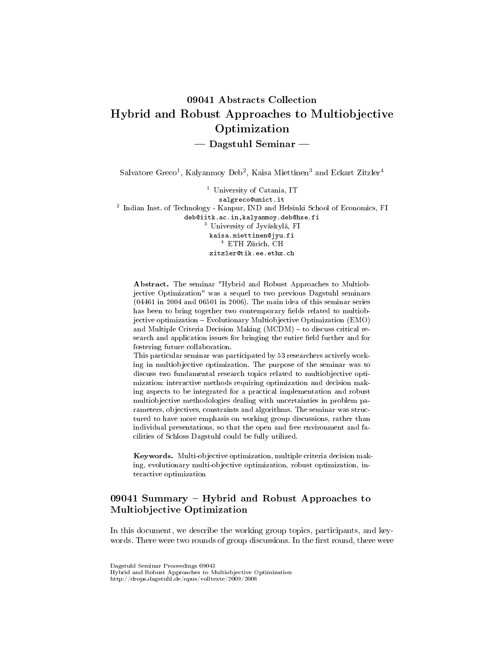# 09041 Abstracts Collection Hybrid and Robust Approaches to Multiobjective Optimization  $-$  Dagstuhl Seminar  $-$

 $\mathrm{Salvatore\,Greco^1,\, Kalyanmoy\,Deb^2,\, Kaisa\, Miettinen^3\, and\, Eckart\, Zitzler^4}$ 

<sup>1</sup> University of Catania, IT salgreco@unict.it 2 Indian Inst. of Technology - Kanpur, IND and Helsinki School of Economics, FI deb@iitk.ac.in,kalyanmoy.deb@hse.fi <sup>3</sup> University of Jyväskylä, FI kaisa.miettinen@jyu.fi <sup>4</sup> ETH Zürich, CH zitzler@tik.ee.ethz.ch

Abstract. The seminar "Hybrid and Robust Approaches to Multiobjective Optimization" was a sequel to two previous Dagstuhl seminars (04461 in 2004 and 06501 in 2006). The main idea of this seminar series has been to bring together two contemporary fields related to multiobjective optimization Evolutionary Multiobjective Optimization (EMO) and Multiple Criteria Decision Making (MCDM) - to discuss critical research and application issues for bringing the entire field further and for fostering future collaboration.

This particular seminar was participated by 53 researchers actively working in multiobjective optimization. The purpose of the seminar was to discuss two fundamental research topics related to multiobjective optimization: interactive methods requiring optimization and decision making aspects to be integrated for a practical implementation and robust multiobjective methodologies dealing with uncertainties in problem parameters, objectives, constraints and algorithms. The seminar was structured to have more emphasis on working group discussions, rather than individual presentations, so that the open and free environment and facilities of Schloss Dagstuhl could be fully utilized.

Keywords. Multi-objective optimization, multiple criteria decision making, evolutionary multi-objective optimization, robust optimization, interactive optimization

# 09041 Summary - Hybrid and Robust Approaches to Multiobjective Optimization

In this document, we describe the working group topics, participants, and keywords. There were two rounds of group discussions. In the first round, there were

Dagstuhl Seminar Proceedings 09041 Hybrid and Robust Approaches to Multiobjective Optimization http://drops.dagstuhl.de/opus/volltexte/2009/2006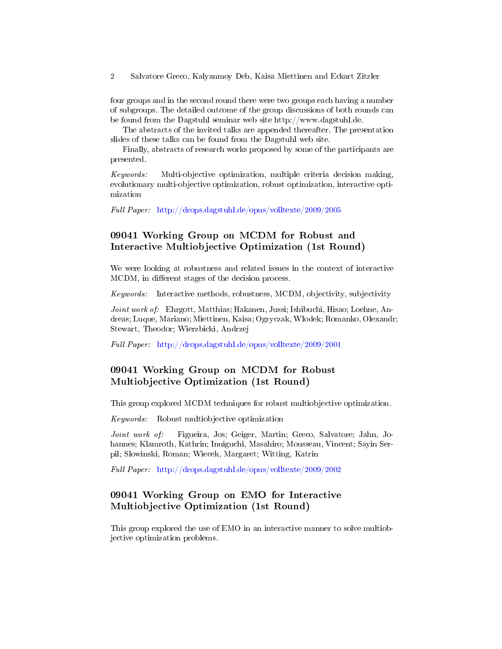four groups and in the second round there were two groups each having a number of subgroups. The detailed outcome of the group discussions of both rounds can be found from the Dagstuhl seminar web site http://www.dagstuhl.de.

The abstracts of the invited talks are appended thereafter. The presentation slides of these talks can be found from the Dagstuhl web site.

Finally, abstracts of research works proposed by some of the participants are presented.

Keywords: Multi-objective optimization, multiple criteria decision making, evolutionary multi-objective optimization, robust optimization, interactive optimization

Full Paper: <http://drops.dagstuhl.de/opus/volltexte/2009/2005>

# 09041 Working Group on MCDM for Robust and Interactive Multiobjective Optimization (1st Round)

We were looking at robustness and related issues in the context of interactive MCDM, in different stages of the decision process.

Keywords: Interactive methods, robustness, MCDM, objectivity, subjectivity

Joint work of: Ehrgott, Matthias; Hakanen, Jussi; Ishibuchi, Hisao; Loehne, Andreas; Luque, Mariano; Miettinen, Kaisa; Ogryczak, Wlodek; Romanko, Olexandr; Stewart, Theodor; Wierzbicki, Andrzej

Full Paper: <http://drops.dagstuhl.de/opus/volltexte/2009/2001>

# 09041 Working Group on MCDM for Robust Multiobjective Optimization (1st Round)

This group explored MCDM techniques for robust multiobjective optimization.

Keywords: Robust multiobjective optimization

Joint work of: Figueira, Jos; Geiger, Martin; Greco, Salvatore; Jahn, Johannes; Klamroth, Kathrin; Inuiguchi, Masahiro; Mousseau, Vincent; Sayin Serpil; Slowinski, Roman; Wiecek, Margaret; Witting, Katrin

Full Paper: <http://drops.dagstuhl.de/opus/volltexte/2009/2002>

# 09041 Working Group on EMO for Interactive Multiobjective Optimization (1st Round)

This group explored the use of EMO in an interactive manner to solve multiobjective optimization problems.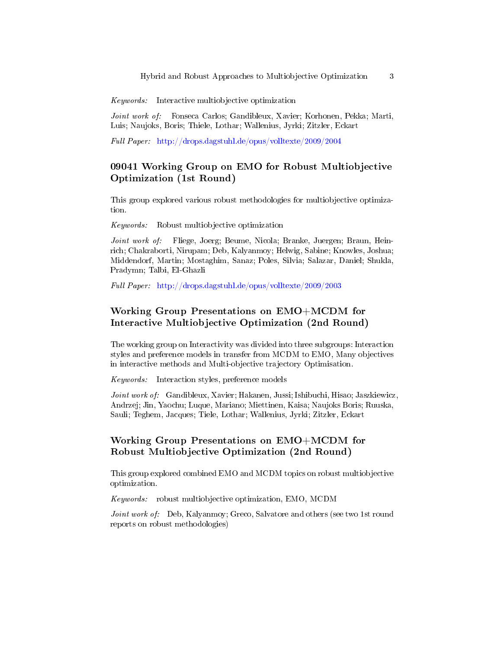Keywords: Interactive multiobjective optimization

Joint work of: Fonseca Carlos; Gandibleux, Xavier; Korhonen, Pekka; Marti, Luis; Naujoks, Boris; Thiele, Lothar; Wallenius, Jyrki; Zitzler, Eckart

Full Paper: <http://drops.dagstuhl.de/opus/volltexte/2009/2004>

# 09041 Working Group on EMO for Robust Multiobjective Optimization (1st Round)

This group explored various robust methodologies for multiobjective optimization.

Keywords: Robust multiobjective optimization

Joint work of: Fliege, Joerg; Beume, Nicola; Branke, Juergen; Braun, Heinrich; Chakraborti, Nirupam; Deb, Kalyanmoy; Helwig, Sabine; Knowles, Joshua; Middendorf, Martin; Mostaghim, Sanaz; Poles, Silvia; Salazar, Daniel; Shukla, Pradymn; Talbi, El-Ghazli

Full Paper: <http://drops.dagstuhl.de/opus/volltexte/2009/2003>

# Working Group Presentations on EMO+MCDM for Interactive Multiobjective Optimization (2nd Round)

The working group on Interactivity was divided into three subgroups: Interaction styles and preference models in transfer from MCDM to EMO, Many objectives in interactive methods and Multi-objective trajectory Optimisation.

Keywords: Interaction styles, preference models

Joint work of: Gandibleux, Xavier; Hakanen, Jussi; Ishibuchi, Hisao; Jaszkiewicz, Andrzej; Jin, Yaochu; Luque, Mariano; Miettinen, Kaisa; Naujoks Boris; Ruuska, Sauli; Teghem, Jacques; Tiele, Lothar; Wallenius, Jyrki; Zitzler, Eckart

#### Working Group Presentations on EMO+MCDM for Robust Multiobjective Optimization (2nd Round)

This group explored combined EMO and MCDM topics on robust multiobjective optimization.

Keywords: robust multiobjective optimization, EMO, MCDM

Joint work of: Deb, Kalyanmoy; Greco, Salvatore and others (see two 1st round reports on robust methodologies)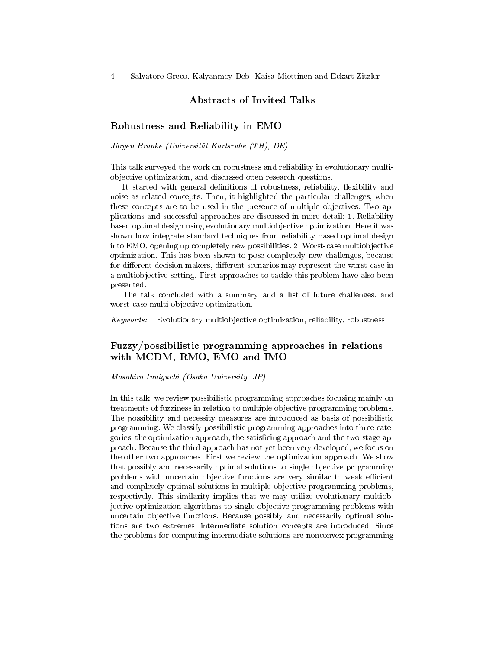#### Abstracts of Invited Talks

#### Robustness and Reliability in EMO

Jürgen Branke (Universität Karlsruhe (TH), DE)

This talk surveyed the work on robustness and reliability in evolutionary multiobjective optimization, and discussed open research questions.

It started with general definitions of robustness, reliability, flexibility and noise as related concepts. Then, it highlighted the particular challenges, when these concepts are to be used in the presence of multiple objectives. Two applications and successful approaches are discussed in more detail: 1. Reliability based optimal design using evolutionary multiobjective optimization. Here it was shown how integrate standard techniques from reliability based optimal design into EMO, opening up completely new possibilities. 2. Worst-case multiobjective optimization. This has been shown to pose completely new challenges, because for different decision makers, different scenarios may represent the worst case in a multiobjective setting. First approaches to tackle this problem have also been presented.

The talk concluded with a summary and a list of future challenges. and worst-case multi-objective optimization.

Keywords: Evolutionary multiobjective optimization, reliability, robustness

# Fuzzy/possibilistic programming approaches in relations with MCDM, RMO, EMO and IMO

#### Masahiro Inuiguchi (Osaka University, JP)

In this talk, we review possibilistic programming approaches focusing mainly on treatments of fuzziness in relation to multiple objective programming problems. The possibility and necessity measures are introduced as basis of possibilistic programming. We classify possibilistic programming approaches into three categories: the optimization approach, the satisficing approach and the two-stage approach. Because the third approach has not yet been very developed, we focus on the other two approaches. First we review the optimization approach. We show that possibly and necessarily optimal solutions to single objective programming problems with uncertain objective functions are very similar to weak efficient and completely optimal solutions in multiple objective programming problems, respectively. This similarity implies that we may utilize evolutionary multiobjective optimization algorithms to single objective programming problems with uncertain objective functions. Because possibly and necessarily optimal solutions are two extremes, intermediate solution concepts are introduced. Since the problems for computing intermediate solutions are nonconvex programming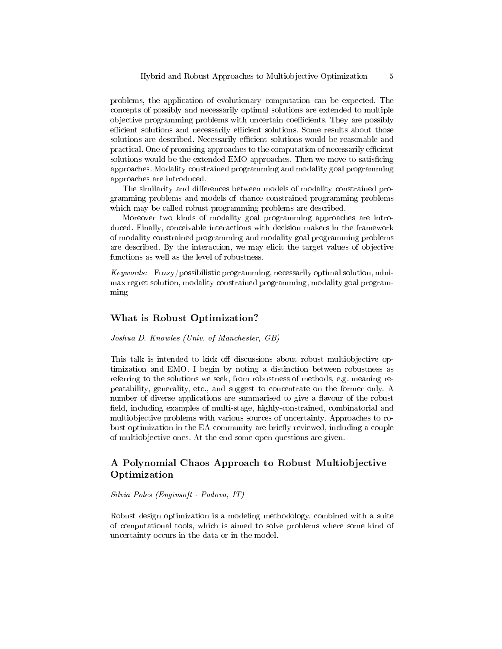problems, the application of evolutionary computation can be expected. The concepts of possibly and necessarily optimal solutions are extended to multiple objective programming problems with uncertain coefficients. They are possibly efficient solutions and necessarily efficient solutions. Some results about those solutions are described. Necessarily efficient solutions would be reasonable and practical. One of promising approaches to the computation of necessarily efficient solutions would be the extended EMO approaches. Then we move to satisficing approaches. Modality constrained programming and modality goal programming approaches are introduced.

The similarity and differences between models of modality constrained programming problems and models of chance constrained programming problems which may be called robust programming problems are described.

Moreover two kinds of modality goal programming approaches are introduced. Finally, conceivable interactions with decision makers in the framework of modality constrained programming and modality goal programming problems are described. By the interaction, we may elicit the target values of objective functions as well as the level of robustness.

Keywords: Fuzzy/possibilistic programming, necessarily optimal solution, minimax regret solution, modality constrained programming, modality goal programming

#### What is Robust Optimization?

#### Joshua D. Knowles (Univ. of Manchester, GB)

This talk is intended to kick off discussions about robust multiobjective optimization and EMO. I begin by noting a distinction between robustness as referring to the solutions we seek, from robustness of methods, e.g. meaning repeatability, generality, etc., and suggest to concentrate on the former only. A number of diverse applications are summarised to give a flavour of the robust field, including examples of multi-stage, highly-constrained, combinatorial and multiobjective problems with various sources of uncertainty. Approaches to robust optimization in the EA community are briefly reviewed, including a couple of multiobjective ones. At the end some open questions are given.

#### A Polynomial Chaos Approach to Robust Multiobjective Optimization

Silvia Poles (Enginsoft - Padova, IT)

Robust design optimization is a modeling methodology, combined with a suite of computational tools, which is aimed to solve problems where some kind of uncertainty occurs in the data or in the model.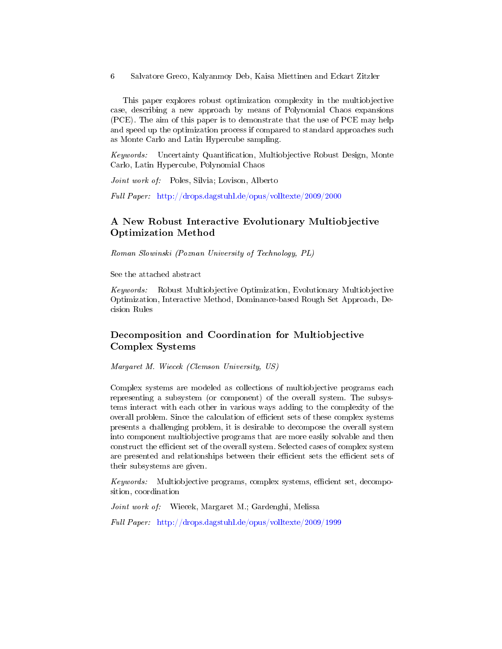This paper explores robust optimization complexity in the multiobjective case, describing a new approach by means of Polynomial Chaos expansions (PCE). The aim of this paper is to demonstrate that the use of PCE may help and speed up the optimization process if compared to standard approaches such as Monte Carlo and Latin Hypercube sampling.

Keywords: Uncertainty Quantification, Multiobjective Robust Design, Monte Carlo, Latin Hypercube, Polynomial Chaos

Joint work of: Poles, Silvia; Lovison, Alberto

Full Paper: <http://drops.dagstuhl.de/opus/volltexte/2009/2000>

### A New Robust Interactive Evolutionary Multiobjective Optimization Method

Roman Slowinski (Poznan University of Technology, PL)

See the attached abstract

Keywords: Robust Multiobjective Optimization, Evolutionary Multiobjective Optimization, Interactive Method, Dominance-based Rough Set Approach, Decision Rules

# Decomposition and Coordination for Multiobjective Complex Systems

Margaret M. Wiecek (Clemson University, US)

Complex systems are modeled as collections of multiobjective programs each representing a subsystem (or component) of the overall system. The subsystems interact with each other in various ways adding to the complexity of the overall problem. Since the calculation of efficient sets of these complex systems presents a challenging problem, it is desirable to decompose the overall system into component multiobjective programs that are more easily solvable and then construct the efficient set of the overall system. Selected cases of complex system are presented and relationships between their efficient sets the efficient sets of their subsystems are given.

Keywords: Multiobjective programs, complex systems, efficient set, decomposition, coordination

Joint work of: Wiecek, Margaret M.; Gardenghi, Melissa

Full Paper: <http://drops.dagstuhl.de/opus/volltexte/2009/1999>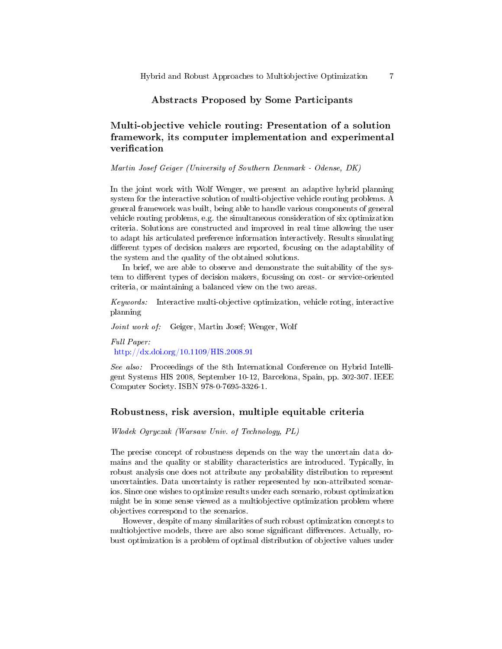#### Abstracts Proposed by Some Participants

# Multi-objective vehicle routing: Presentation of a solution framework, its computer implementation and experimental verification

Martin Josef Geiger (University of Southern Denmark - Odense, DK)

In the joint work with Wolf Wenger, we present an adaptive hybrid planning system for the interactive solution of multi-objective vehicle routing problems. A general framework was built, being able to handle various components of general vehicle routing problems, e.g. the simultaneous consideration of six optimization criteria. Solutions are constructed and improved in real time allowing the user to adapt his articulated preference information interactively. Results simulating different types of decision makers are reported, focusing on the adaptability of the system and the quality of the obtained solutions.

In brief, we are able to observe and demonstrate the suitability of the system to different types of decision makers, focussing on cost- or service-oriented criteria, or maintaining a balanced view on the two areas.

Keywords: Interactive multi-objective optimization, vehicle roting, interactive planning

Joint work of: Geiger, Martin Josef; Wenger, Wolf

Full Paper: <http://dx.doi.org/10.1109/HIS.2008.91>

See also: Proceedings of the 8th International Conference on Hybrid Intelligent Systems HIS 2008, September 10-12, Barcelona, Spain, pp. 302-307. IEEE Computer Society. ISBN 978-0-7695-3326-1.

#### Robustness, risk aversion, multiple equitable criteria

Wlodek Ogryczak (Warsaw Univ. of Technology, PL)

The precise concept of robustness depends on the way the uncertain data domains and the quality or stability characteristics are introduced. Typically, in robust analysis one does not attribute any probability distribution to represent uncertainties. Data uncertainty is rather represented by non-attributed scenarios. Since one wishes to optimize results under each scenario, robust optimization might be in some sense viewed as a multiobjective optimization problem where objectives correspond to the scenarios.

However, despite of many similarities of such robust optimization concepts to multiobjective models, there are also some significant differences. Actually, robust optimization is a problem of optimal distribution of objective values under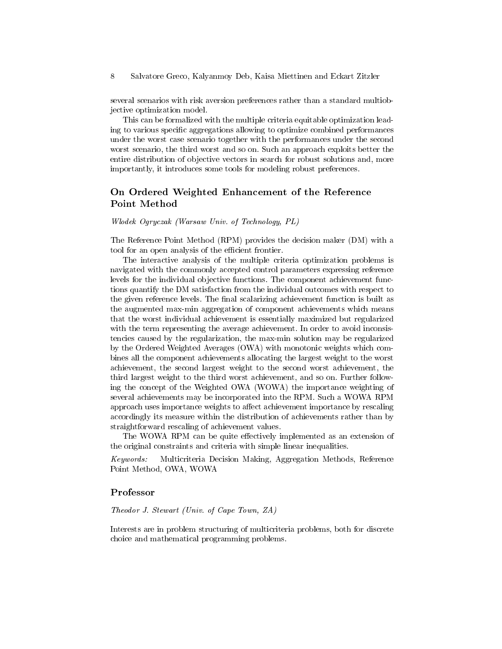several scenarios with risk aversion preferences rather than a standard multiobjective optimization model.

This can be formalized with the multiple criteria equitable optimization leading to various specific aggregations allowing to optimize combined performances under the worst case scenario together with the performances under the second worst scenario, the third worst and so on. Such an approach exploits better the entire distribution of objective vectors in search for robust solutions and, more importantly, it introduces some tools for modeling robust preferences.

#### On Ordered Weighted Enhancement of the Reference Point Method

#### Wlodek Ogryczak (Warsaw Univ. of Technology, PL)

The Reference Point Method (RPM) provides the decision maker (DM) with a tool for an open analysis of the efficient frontier.

The interactive analysis of the multiple criteria optimization problems is navigated with the commonly accepted control parameters expressing reference levels for the individual objective functions. The component achievement functions quantify the DM satisfaction from the individual outcomes with respect to the given reference levels. The final scalarizing achievement function is built as the augmented max-min aggregation of component achievements which means that the worst individual achievement is essentially maximized but regularized with the term representing the average achievement. In order to avoid inconsistencies caused by the regularization, the max-min solution may be regularized by the Ordered Weighted Averages (OWA) with monotonic weights which combines all the component achievements allocating the largest weight to the worst achievement, the second largest weight to the second worst achievement, the third largest weight to the third worst achievement, and so on. Further following the concept of the Weighted OWA (WOWA) the importance weighting of several achievements may be incorporated into the RPM. Such a WOWA RPM approach uses importance weights to affect achievement importance by rescaling accordingly its measure within the distribution of achievements rather than by straightforward rescaling of achievement values.

The WOWA RPM can be quite effectively implemented as an extension of the original constraints and criteria with simple linear inequalities.

Keywords: Multicriteria Decision Making, Aggregation Methods, Reference Point Method, OWA, WOWA

#### Professor

#### Theodor J. Stewart (Univ. of Cape Town, ZA)

Interests are in problem structuring of multicriteria problems, both for discrete choice and mathematical programming problems.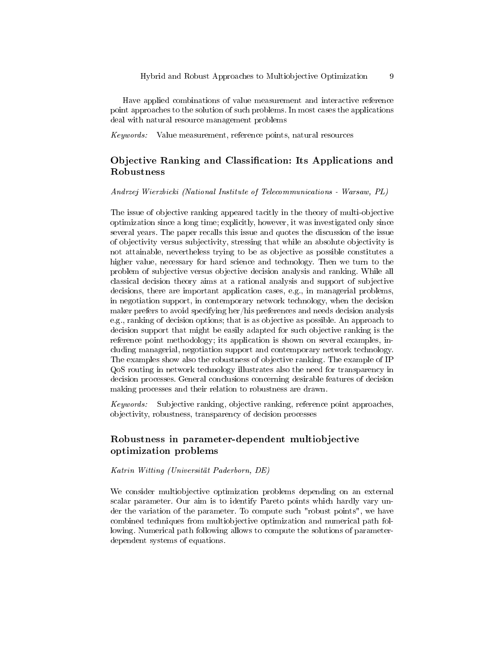Have applied combinations of value measurement and interactive reference point approaches to the solution of such problems. In most cases the applications deal with natural resource management problems

Keywords: Value measurement, reference points, natural resources

# Objective Ranking and Classification: Its Applications and Robustness

Andrzej Wierzbicki (National Institute of Telecommunications - Warsaw, PL)

The issue of objective ranking appeared tacitly in the theory of multi-objective optimization since a long time; explicitly, however, it was investigated only since several years. The paper recalls this issue and quotes the discussion of the issue of objectivity versus subjectivity, stressing that while an absolute objectivity is not attainable, nevertheless trying to be as objective as possible constitutes a higher value, necessary for hard science and technology. Then we turn to the problem of subjective versus objective decision analysis and ranking. While all classical decision theory aims at a rational analysis and support of subjective decisions, there are important application cases, e.g., in managerial problems, in negotiation support, in contemporary network technology, when the decision maker prefers to avoid specifying her/his preferences and needs decision analysis e.g., ranking of decision options; that is as objective as possible. An approach to decision support that might be easily adapted for such objective ranking is the reference point methodology; its application is shown on several examples, including managerial, negotiation support and contemporary network technology. The examples show also the robustness of objective ranking. The example of IP QoS routing in network technology illustrates also the need for transparency in decision processes. General conclusions concerning desirable features of decision making processes and their relation to robustness are drawn.

Keywords: Subjective ranking, objective ranking, reference point approaches, objectivity, robustness, transparency of decision processes

# Robustness in parameter-dependent multiobjective optimization problems

Katrin Witting (Universität Paderborn, DE)

We consider multiobjective optimization problems depending on an external scalar parameter. Our aim is to identify Pareto points which hardly vary under the variation of the parameter. To compute such "robust points", we have combined techniques from multiobjective optimization and numerical path following. Numerical path following allows to compute the solutions of parameterdependent systems of equations.